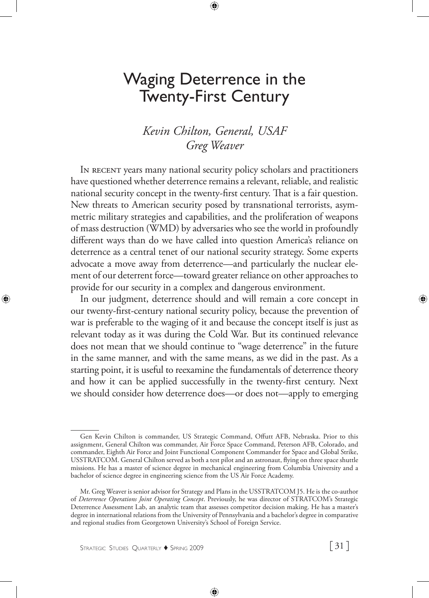# Waging Deterrence in the Twenty-First Century

# *Kevin Chilton, General, USAF Greg Weaver*

In recent years many national security policy scholars and practitioners have questioned whether deterrence remains a relevant, reliable, and realistic national security concept in the twenty-first century. That is a fair question. New threats to American security posed by transnational terrorists, asymmetric military strategies and capabilities, and the proliferation of weapons of mass destruction (WMD) by adversaries who see the world in profoundly different ways than do we have called into question America's reliance on deterrence as a central tenet of our national security strategy. Some experts advocate a move away from deterrence—and particularly the nuclear element of our deterrent force—toward greater reliance on other approaches to provide for our security in a complex and dangerous environment.

In our judgment, deterrence should and will remain a core concept in our twenty-first-century national security policy, because the prevention of war is preferable to the waging of it and because the concept itself is just as relevant today as it was during the Cold War. But its continued relevance does not mean that we should continue to "wage deterrence" in the future in the same manner, and with the same means, as we did in the past. As a starting point, it is useful to reexamine the fundamentals of deterrence theory and how it can be applied successfully in the twenty-first century. Next we should consider how deterrence does—or does not—apply to emerging

Gen Kevin Chilton is commander, US Strategic Command, Offutt AFB, Nebraska. Prior to this assignment, General Chilton was commander, Air Force Space Command, Peterson AFB, Colorado, and commander, Eighth Air Force and Joint Functional Component Commander for Space and Global Strike, USSTRATCOM. General Chilton served as both a test pilot and an astronaut, flying on three space shuttle missions. He has a master of science degree in mechanical engineering from Columbia University and a bachelor of science degree in engineering science from the US Air Force Academy.

Mr. Greg Weaver is senior advisor for Strategy and Plans in the USSTRATCOM J5. He is the co-author of *Deterrence Operations Joint Operating Concept*. Previously, he was director of STRATCOM's Strategic Deterrence Assessment Lab, an analytic team that assesses competitor decision making. He has a master's degree in international relations from the University of Pennsylvania and a bachelor's degree in comparative and regional studies from Georgetown University's School of Foreign Service.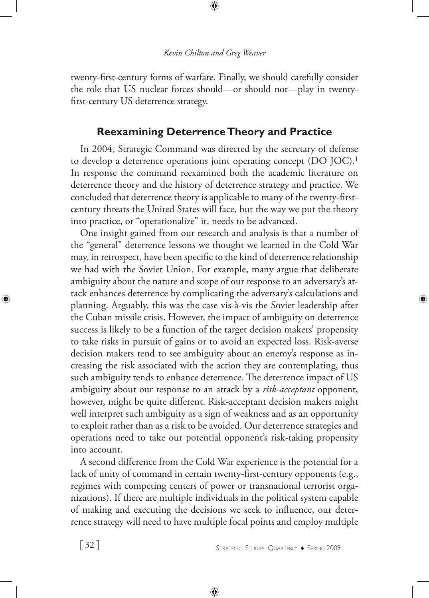twenty-first-century forms of warfare. Finally, we should carefully consider the role that US nuclear forces should—or should not—play in twentyfirst-century US deterrence strategy.

# **Reexamining Deterrence Theory and Practice**

In 2004, Strategic Command was directed by the secretary of defense to develop a deterrence operations joint operating concept (DO JOC).<sup>1</sup> In response the command reexamined both the academic literature on deterrence theory and the history of deterrence strategy and practice. We concluded that deterrence theory is applicable to many of the twenty-firstcentury threats the United States will face, but the way we put the theory into practice, or "operationalize" it, needs to be advanced.

One insight gained from our research and analysis is that a number of the "general" deterrence lessons we thought we learned in the Cold War may, in retrospect, have been specific to the kind of deterrence relationship we had with the Soviet Union. For example, many argue that deliberate ambiguity about the nature and scope of our response to an adversary's attack enhances deterrence by complicating the adversary's calculations and planning. Arguably, this was the case vis-à-vis the Soviet leadership after the Cuban missile crisis. However, the impact of ambiguity on deterrence success is likely to be a function of the target decision makers' propensity to take risks in pursuit of gains or to avoid an expected loss. Risk-averse decision makers tend to see ambiguity about an enemy's response as increasing the risk associated with the action they are contemplating, thus such ambiguity tends to enhance deterrence. The deterrence impact of US ambiguity about our response to an attack by a *risk-acceptant* opponent, however, might be quite different. Risk-acceptant decision makers might well interpret such ambiguity as a sign of weakness and as an opportunity to exploit rather than as a risk to be avoided. Our deterrence strategies and operations need to take our potential opponent's risk-taking propensity into account.

A second difference from the Cold War experience is the potential for a lack of unity of command in certain twenty-first-century opponents (e.g., regimes with competing centers of power or transnational terrorist organizations). If there are multiple individuals in the political system capable of making and executing the decisions we seek to influence, our deterrence strategy will need to have multiple focal points and employ multiple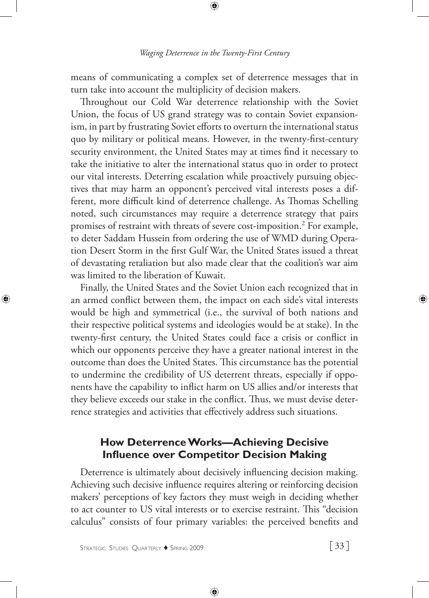means of communicating a complex set of deterrence messages that in turn take into account the multiplicity of decision makers.

Throughout our Cold War deterrence relationship with the Soviet Union, the focus of US grand strategy was to contain Soviet expansionism, in part by frustrating Soviet efforts to overturn the international status quo by military or political means. However, in the twenty-first-century security environment, the United States may at times find it necessary to take the initiative to alter the international status quo in order to protect our vital interests. Deterring escalation while proactively pursuing objectives that may harm an opponent's perceived vital interests poses a different, more difficult kind of deterrence challenge. As Thomas Schelling noted, such circumstances may require a deterrence strategy that pairs promises of restraint with threats of severe cost-imposition.2 For example, to deter Saddam Hussein from ordering the use of WMD during Operation Desert Storm in the first Gulf War, the United States issued a threat of devastating retaliation but also made clear that the coalition's war aim was limited to the liberation of Kuwait.

Finally, the United States and the Soviet Union each recognized that in an armed conflict between them, the impact on each side's vital interests would be high and symmetrical (i.e., the survival of both nations and their respective political systems and ideologies would be at stake). In the twenty-first century, the United States could face a crisis or conflict in which our opponents perceive they have a greater national interest in the outcome than does the United States. This circumstance has the potential to undermine the credibility of US deterrent threats, especially if opponents have the capability to inflict harm on US allies and/or interests that they believe exceeds our stake in the conflict. Thus, we must devise deterrence strategies and activities that effectively address such situations.

# **How Deterrence Works—Achieving Decisive Influence over Competitor Decision Making**

Deterrence is ultimately about decisively influencing decision making. Achieving such decisive influence requires altering or reinforcing decision makers' perceptions of key factors they must weigh in deciding whether to act counter to US vital interests or to exercise restraint. This "decision calculus" consists of four primary variables: the perceived benefits and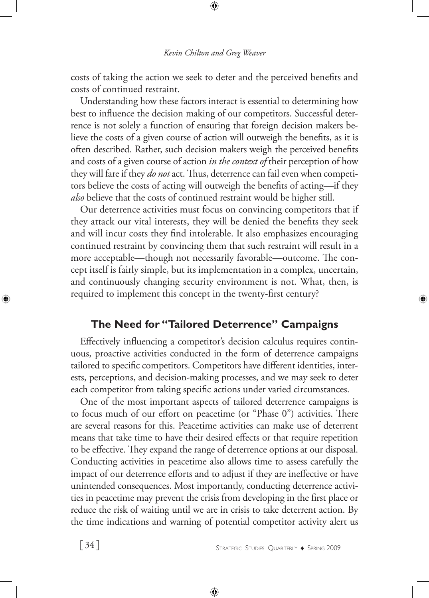costs of taking the action we seek to deter and the perceived benefits and costs of continued restraint.

Understanding how these factors interact is essential to determining how best to influence the decision making of our competitors. Successful deterrence is not solely a function of ensuring that foreign decision makers believe the costs of a given course of action will outweigh the benefits, as it is often described. Rather, such decision makers weigh the perceived benefits and costs of a given course of action *in the context of* their perception of how they will fare if they *do not* act. Thus, deterrence can fail even when competitors believe the costs of acting will outweigh the benefits of acting—if they *also* believe that the costs of continued restraint would be higher still.

Our deterrence activities must focus on convincing competitors that if they attack our vital interests, they will be denied the benefits they seek and will incur costs they find intolerable. It also emphasizes encouraging continued restraint by convincing them that such restraint will result in a more acceptable—though not necessarily favorable—outcome. The concept itself is fairly simple, but its implementation in a complex, uncertain, and continuously changing security environment is not. What, then, is required to implement this concept in the twenty-first century?

### **The Need for "Tailored Deterrence" Campaigns**

Effectively influencing a competitor's decision calculus requires continuous, proactive activities conducted in the form of deterrence campaigns tailored to specific competitors. Competitors have different identities, interests, perceptions, and decision-making processes, and we may seek to deter each competitor from taking specific actions under varied circumstances.

One of the most important aspects of tailored deterrence campaigns is to focus much of our effort on peacetime (or "Phase 0") activities. There are several reasons for this. Peacetime activities can make use of deterrent means that take time to have their desired effects or that require repetition to be effective. They expand the range of deterrence options at our disposal. Conducting activities in peacetime also allows time to assess carefully the impact of our deterrence efforts and to adjust if they are ineffective or have unintended consequences. Most importantly, conducting deterrence activities in peacetime may prevent the crisis from developing in the first place or reduce the risk of waiting until we are in crisis to take deterrent action. By the time indications and warning of potential competitor activity alert us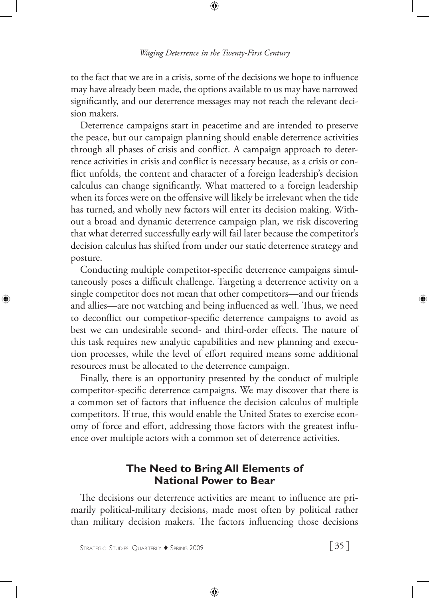to the fact that we are in a crisis, some of the decisions we hope to influence may have already been made, the options available to us may have narrowed significantly, and our deterrence messages may not reach the relevant decision makers.

Deterrence campaigns start in peacetime and are intended to preserve the peace, but our campaign planning should enable deterrence activities through all phases of crisis and conflict. A campaign approach to deterrence activities in crisis and conflict is necessary because, as a crisis or conflict unfolds, the content and character of a foreign leadership's decision calculus can change significantly. What mattered to a foreign leadership when its forces were on the offensive will likely be irrelevant when the tide has turned, and wholly new factors will enter its decision making. Without a broad and dynamic deterrence campaign plan, we risk discovering that what deterred successfully early will fail later because the competitor's decision calculus has shifted from under our static deterrence strategy and posture.

Conducting multiple competitor-specific deterrence campaigns simultaneously poses a difficult challenge. Targeting a deterrence activity on a single competitor does not mean that other competitors—and our friends and allies—are not watching and being influenced as well. Thus, we need to deconflict our competitor-specific deterrence campaigns to avoid as best we can undesirable second- and third-order effects. The nature of this task requires new analytic capabilities and new planning and execution processes, while the level of effort required means some additional resources must be allocated to the deterrence campaign.

Finally, there is an opportunity presented by the conduct of multiple competitor-specific deterrence campaigns. We may discover that there is a common set of factors that influence the decision calculus of multiple competitors. If true, this would enable the United States to exercise economy of force and effort, addressing those factors with the greatest influence over multiple actors with a common set of deterrence activities.

# **The Need to Bring All Elements of National Power to Bear**

The decisions our deterrence activities are meant to influence are primarily political-military decisions, made most often by political rather than military decision makers. The factors influencing those decisions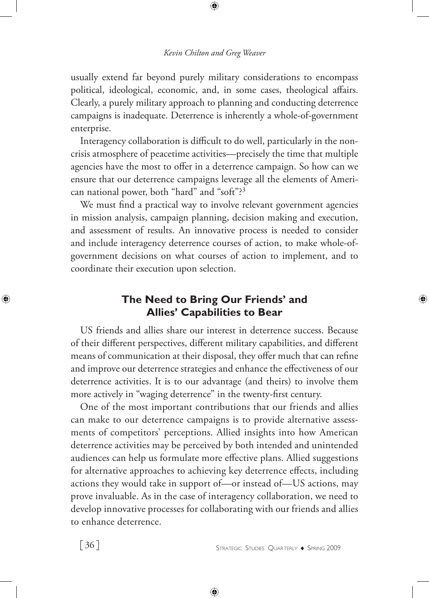usually extend far beyond purely military considerations to encompass political, ideological, economic, and, in some cases, theological affairs. Clearly, a purely military approach to planning and conducting deterrence campaigns is inadequate. Deterrence is inherently a whole-of-government enterprise.

Interagency collaboration is difficult to do well, particularly in the noncrisis atmosphere of peacetime activities—precisely the time that multiple agencies have the most to offer in a deterrence campaign. So how can we ensure that our deterrence campaigns leverage all the elements of American national power, both "hard" and "soft"?3

We must find a practical way to involve relevant government agencies in mission analysis, campaign planning, decision making and execution, and assessment of results. An innovative process is needed to consider and include interagency deterrence courses of action, to make whole-ofgovernment decisions on what courses of action to implement, and to coordinate their execution upon selection.

# **The Need to Bring Our Friends' and Allies' Capabilities to Bear**

US friends and allies share our interest in deterrence success. Because of their different perspectives, different military capabilities, and different means of communication at their disposal, they offer much that can refine and improve our deterrence strategies and enhance the effectiveness of our deterrence activities. It is to our advantage (and theirs) to involve them more actively in "waging deterrence" in the twenty-first century.

One of the most important contributions that our friends and allies can make to our deterrence campaigns is to provide alternative assessments of competitors' perceptions. Allied insights into how American deterrence activities may be perceived by both intended and unintended audiences can help us formulate more effective plans. Allied suggestions for alternative approaches to achieving key deterrence effects, including actions they would take in support of—or instead of—US actions, may prove invaluable. As in the case of interagency collaboration, we need to develop innovative processes for collaborating with our friends and allies to enhance deterrence.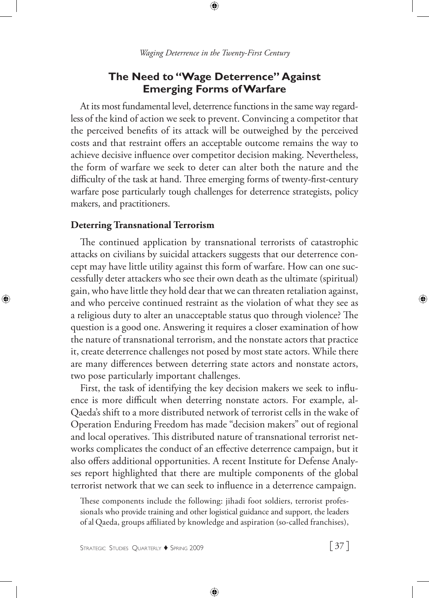#### **The Need to "Wage Deterrence" Against Emerging Forms of Warfare**

At its most fundamental level, deterrence functions in the same way regardless of the kind of action we seek to prevent. Convincing a competitor that the perceived benefits of its attack will be outweighed by the perceived costs and that restraint offers an acceptable outcome remains the way to achieve decisive influence over competitor decision making. Nevertheless, the form of warfare we seek to deter can alter both the nature and the difficulty of the task at hand. Three emerging forms of twenty-first-century warfare pose particularly tough challenges for deterrence strategists, policy makers, and practitioners.

#### **Deterring Transnational Terrorism**

The continued application by transnational terrorists of catastrophic attacks on civilians by suicidal attackers suggests that our deterrence concept may have little utility against this form of warfare. How can one successfully deter attackers who see their own death as the ultimate (spiritual) gain, who have little they hold dear that we can threaten retaliation against, and who perceive continued restraint as the violation of what they see as a religious duty to alter an unacceptable status quo through violence? The question is a good one. Answering it requires a closer examination of how the nature of transnational terrorism, and the nonstate actors that practice it, create deterrence challenges not posed by most state actors. While there are many differences between deterring state actors and nonstate actors, two pose particularly important challenges.

First, the task of identifying the key decision makers we seek to influence is more difficult when deterring nonstate actors. For example, al-Qaeda's shift to a more distributed network of terrorist cells in the wake of Operation Enduring Freedom has made "decision makers" out of regional and local operatives. This distributed nature of transnational terrorist networks complicates the conduct of an effective deterrence campaign, but it also offers additional opportunities. A recent Institute for Defense Analyses report highlighted that there are multiple components of the global terrorist network that we can seek to influence in a deterrence campaign.

These components include the following: jihadi foot soldiers, terrorist professionals who provide training and other logistical guidance and support, the leaders of al Qaeda, groups affiliated by knowledge and aspiration (so-called franchises),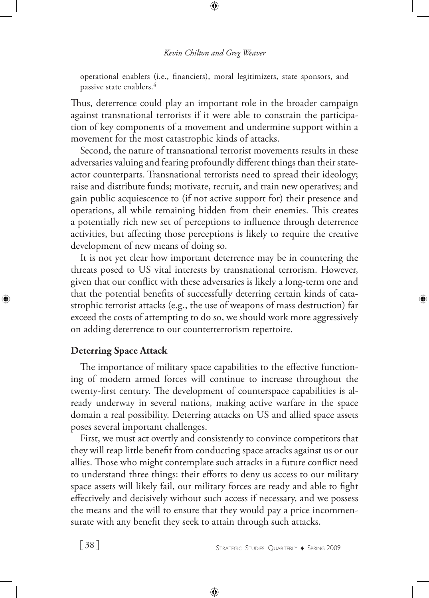operational enablers (i.e., financiers), moral legitimizers, state sponsors, and passive state enablers.4

Thus, deterrence could play an important role in the broader campaign against transnational terrorists if it were able to constrain the participation of key components of a movement and undermine support within a movement for the most catastrophic kinds of attacks.

Second, the nature of transnational terrorist movements results in these adversaries valuing and fearing profoundly different things than their stateactor counterparts. Transnational terrorists need to spread their ideology; raise and distribute funds; motivate, recruit, and train new operatives; and gain public acquiescence to (if not active support for) their presence and operations, all while remaining hidden from their enemies. This creates a potentially rich new set of perceptions to influence through deterrence activities, but affecting those perceptions is likely to require the creative development of new means of doing so.

It is not yet clear how important deterrence may be in countering the threats posed to US vital interests by transnational terrorism. However, given that our conflict with these adversaries is likely a long-term one and that the potential benefits of successfully deterring certain kinds of catastrophic terrorist attacks (e.g., the use of weapons of mass destruction) far exceed the costs of attempting to do so, we should work more aggressively on adding deterrence to our counterterrorism repertoire.

### **Deterring Space Attack**

The importance of military space capabilities to the effective functioning of modern armed forces will continue to increase throughout the twenty-first century. The development of counterspace capabilities is already underway in several nations, making active warfare in the space domain a real possibility. Deterring attacks on US and allied space assets poses several important challenges.

First, we must act overtly and consistently to convince competitors that they will reap little benefit from conducting space attacks against us or our allies. Those who might contemplate such attacks in a future conflict need to understand three things: their efforts to deny us access to our military space assets will likely fail, our military forces are ready and able to fight effectively and decisively without such access if necessary, and we possess the means and the will to ensure that they would pay a price incommensurate with any benefit they seek to attain through such attacks.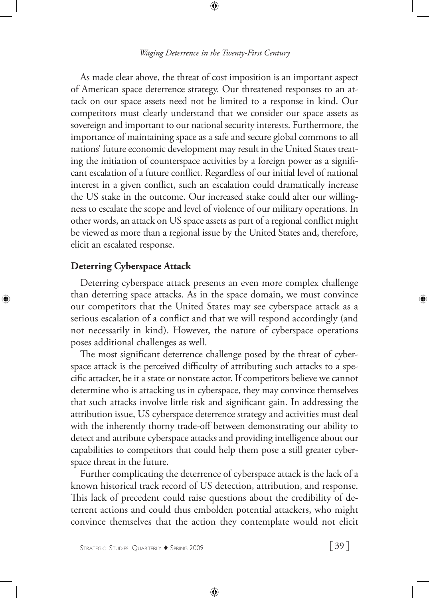As made clear above, the threat of cost imposition is an important aspect of American space deterrence strategy. Our threatened responses to an attack on our space assets need not be limited to a response in kind. Our competitors must clearly understand that we consider our space assets as sovereign and important to our national security interests. Furthermore, the importance of maintaining space as a safe and secure global commons to all nations' future economic development may result in the United States treating the initiation of counterspace activities by a foreign power as a significant escalation of a future conflict. Regardless of our initial level of national interest in a given conflict, such an escalation could dramatically increase the US stake in the outcome. Our increased stake could alter our willingness to escalate the scope and level of violence of our military operations. In other words, an attack on US space assets as part of a regional conflict might be viewed as more than a regional issue by the United States and, therefore, elicit an escalated response.

#### **Deterring Cyberspace Attack**

Deterring cyberspace attack presents an even more complex challenge than deterring space attacks. As in the space domain, we must convince our competitors that the United States may see cyberspace attack as a serious escalation of a conflict and that we will respond accordingly (and not necessarily in kind). However, the nature of cyberspace operations poses additional challenges as well.

The most significant deterrence challenge posed by the threat of cyberspace attack is the perceived difficulty of attributing such attacks to a specific attacker, be it a state or nonstate actor. If competitors believe we cannot determine who is attacking us in cyberspace, they may convince themselves that such attacks involve little risk and significant gain. In addressing the attribution issue, US cyberspace deterrence strategy and activities must deal with the inherently thorny trade-off between demonstrating our ability to detect and attribute cyberspace attacks and providing intelligence about our capabilities to competitors that could help them pose a still greater cyberspace threat in the future.

Further complicating the deterrence of cyberspace attack is the lack of a known historical track record of US detection, attribution, and response. This lack of precedent could raise questions about the credibility of deterrent actions and could thus embolden potential attackers, who might convince themselves that the action they contemplate would not elicit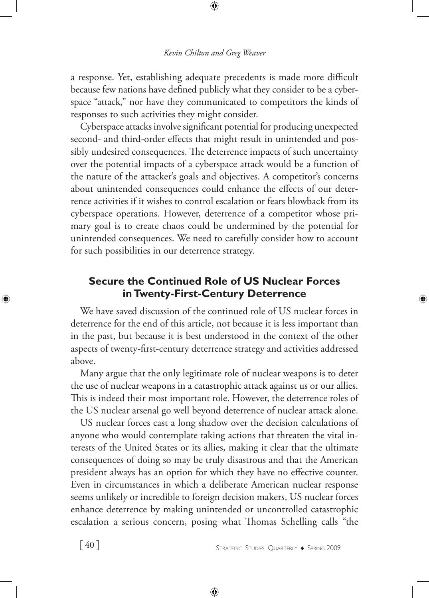a response. Yet, establishing adequate precedents is made more difficult because few nations have defined publicly what they consider to be a cyberspace "attack," nor have they communicated to competitors the kinds of responses to such activities they might consider.

Cyberspace attacks involve significant potential for producing unexpected second- and third-order effects that might result in unintended and possibly undesired consequences. The deterrence impacts of such uncertainty over the potential impacts of a cyberspace attack would be a function of the nature of the attacker's goals and objectives. A competitor's concerns about unintended consequences could enhance the effects of our deterrence activities if it wishes to control escalation or fears blowback from its cyberspace operations. However, deterrence of a competitor whose primary goal is to create chaos could be undermined by the potential for unintended consequences. We need to carefully consider how to account for such possibilities in our deterrence strategy.

### **Secure the Continued Role of US Nuclear Forces in Twenty-First-Century Deterrence**

We have saved discussion of the continued role of US nuclear forces in deterrence for the end of this article, not because it is less important than in the past, but because it is best understood in the context of the other aspects of twenty-first-century deterrence strategy and activities addressed above.

Many argue that the only legitimate role of nuclear weapons is to deter the use of nuclear weapons in a catastrophic attack against us or our allies. This is indeed their most important role. However, the deterrence roles of the US nuclear arsenal go well beyond deterrence of nuclear attack alone.

US nuclear forces cast a long shadow over the decision calculations of anyone who would contemplate taking actions that threaten the vital interests of the United States or its allies, making it clear that the ultimate consequences of doing so may be truly disastrous and that the American president always has an option for which they have no effective counter. Even in circumstances in which a deliberate American nuclear response seems unlikely or incredible to foreign decision makers, US nuclear forces enhance deterrence by making unintended or uncontrolled catastrophic escalation a serious concern, posing what Thomas Schelling calls "the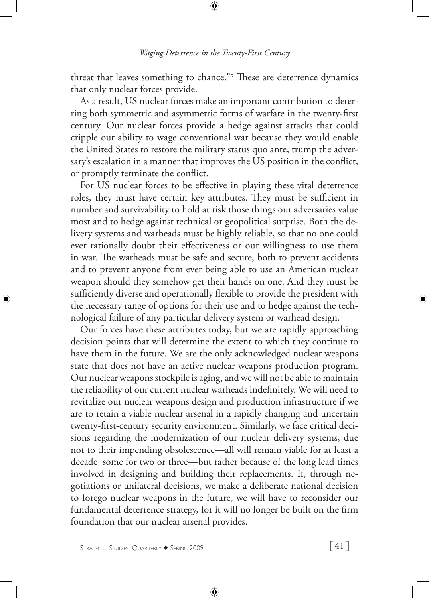threat that leaves something to chance."5 These are deterrence dynamics that only nuclear forces provide.

As a result, US nuclear forces make an important contribution to deterring both symmetric and asymmetric forms of warfare in the twenty-first century. Our nuclear forces provide a hedge against attacks that could cripple our ability to wage conventional war because they would enable the United States to restore the military status quo ante, trump the adversary's escalation in a manner that improves the US position in the conflict, or promptly terminate the conflict.

For US nuclear forces to be effective in playing these vital deterrence roles, they must have certain key attributes. They must be sufficient in number and survivability to hold at risk those things our adversaries value most and to hedge against technical or geopolitical surprise. Both the delivery systems and warheads must be highly reliable, so that no one could ever rationally doubt their effectiveness or our willingness to use them in war. The warheads must be safe and secure, both to prevent accidents and to prevent anyone from ever being able to use an American nuclear weapon should they somehow get their hands on one. And they must be sufficiently diverse and operationally flexible to provide the president with the necessary range of options for their use and to hedge against the technological failure of any particular delivery system or warhead design.

Our forces have these attributes today, but we are rapidly approaching decision points that will determine the extent to which they continue to have them in the future. We are the only acknowledged nuclear weapons state that does not have an active nuclear weapons production program. Our nuclear weapons stockpile is aging, and we will not be able to maintain the reliability of our current nuclear warheads indefinitely. We will need to revitalize our nuclear weapons design and production infrastructure if we are to retain a viable nuclear arsenal in a rapidly changing and uncertain twenty-first-century security environment. Similarly, we face critical decisions regarding the modernization of our nuclear delivery systems, due not to their impending obsolescence—all will remain viable for at least a decade, some for two or three—but rather because of the long lead times involved in designing and building their replacements. If, through negotiations or unilateral decisions, we make a deliberate national decision to forego nuclear weapons in the future, we will have to reconsider our fundamental deterrence strategy, for it will no longer be built on the firm foundation that our nuclear arsenal provides.